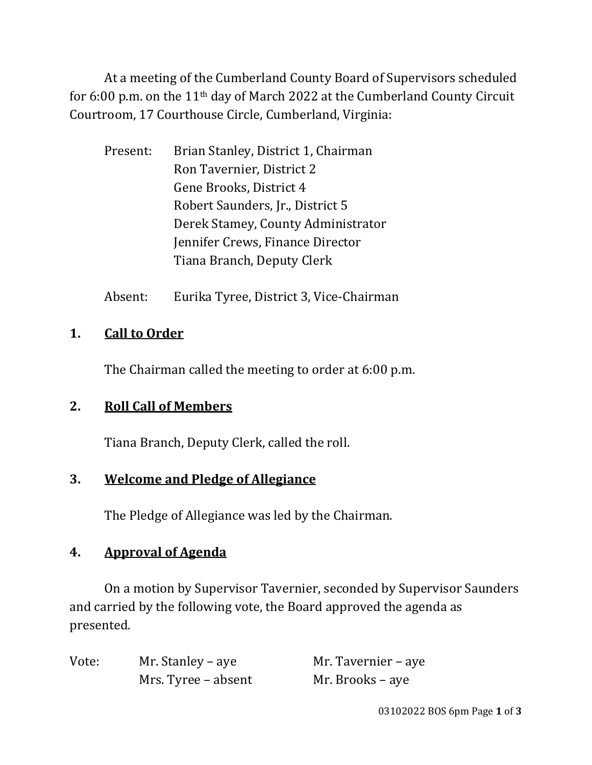At a meeting of the Cumberland County Board of Supervisors scheduled for 6:00 p.m. on the 11th day of March 2022 at the Cumberland County Circuit Courtroom, 17 Courthouse Circle, Cumberland, Virginia:

- Present: Brian Stanley, District 1, Chairman Ron Tavernier, District 2 Gene Brooks, District 4 Robert Saunders, Jr., District 5 Derek Stamey, County Administrator Jennifer Crews, Finance Director Tiana Branch, Deputy Clerk
- Absent: Eurika Tyree, District 3, Vice-Chairman

#### **1. Call to Order**

The Chairman called the meeting to order at 6:00 p.m.

# **2. Roll Call of Members**

Tiana Branch, Deputy Clerk, called the roll.

# **3. Welcome and Pledge of Allegiance**

The Pledge of Allegiance was led by the Chairman.

# **4. Approval of Agenda**

On a motion by Supervisor Tavernier, seconded by Supervisor Saunders and carried by the following vote, the Board approved the agenda as presented.

| Vote: | Mr. Stanley – aye   | Mr. Tavernier – aye |
|-------|---------------------|---------------------|
|       | Mrs. Tyree – absent | Mr. Brooks – aye    |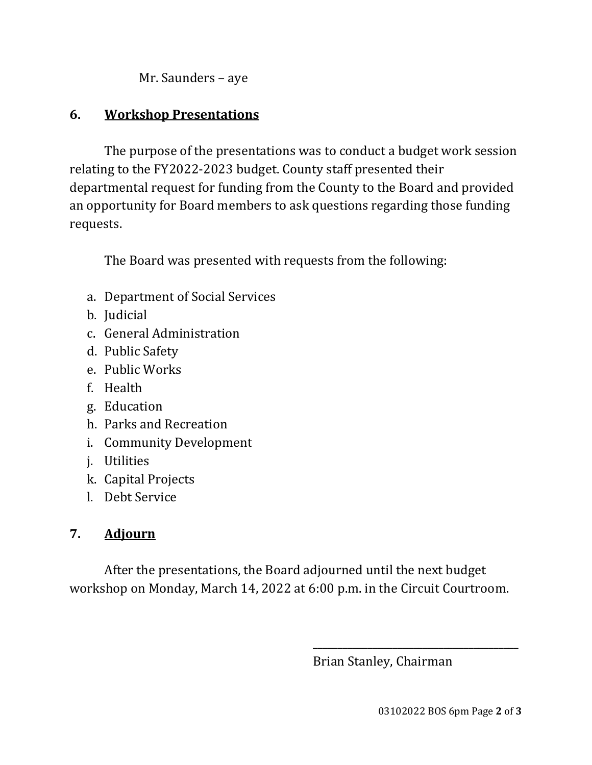Mr. Saunders – aye

#### **6. Workshop Presentations**

The purpose of the presentations was to conduct a budget work session relating to the FY2022-2023 budget. County staff presented their departmental request for funding from the County to the Board and provided an opportunity for Board members to ask questions regarding those funding requests.

The Board was presented with requests from the following:

- a. Department of Social Services
- b. Judicial
- c. General Administration
- d. Public Safety
- e. Public Works
- f. Health
- g. Education
- h. Parks and Recreation
- i. Community Development
- j. Utilities
- k. Capital Projects
- l. Debt Service

#### **7. Adjourn**

After the presentations, the Board adjourned until the next budget workshop on Monday, March 14, 2022 at 6:00 p.m. in the Circuit Courtroom.

 $\overline{\phantom{a}}$  , and the contract of the contract of the contract of the contract of the contract of the contract of the contract of the contract of the contract of the contract of the contract of the contract of the contrac

Brian Stanley, Chairman